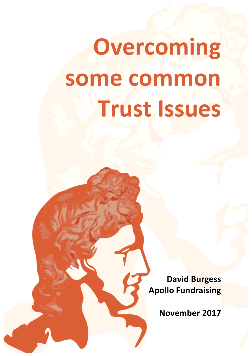# **Overcoming some common Trust Issues**

**David Burgess Apollo Fundraising** 

**November 2017**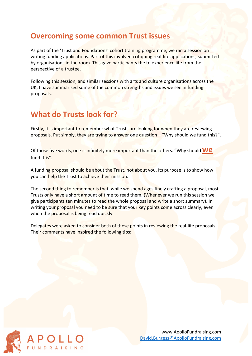#### **Overcoming some common Trust issues**

As part of the 'Trust and Foundations' cohort training programme, we ran a session on writing funding applications. Part of this involved critiquing real-life applications, submitted by organisations in the room. This gave participants the to experience life from the perspective of a trustee.

Following this session, and similar sessions with arts and culture organisations across the UK, I have summarised some of the common strengths and issues we see in funding proposals.

# **What do Trusts look for?**

Firstly, it is important to remember what Trusts are looking for when they are reviewing proposals. Put simply, they are trying to answer one question – "Why should we fund this?".

Of those five words, one is infinitely more important than the others. "Why should **WE** fund this".

A funding proposal should be about the Trust, not about you. Its purpose is to show how you can help the Trust to achieve their mission.

The second thing to remember is that, while we spend ages finely crafting a proposal, most Trusts only have a short amount of time to read them. (Whenever we run this session we give participants ten minutes to read the whole proposal and write a short summary). In writing your proposal you need to be sure that your key points come across clearly, even when the proposal is being read quickly.

Delegates were asked to consider both of these points in reviewing the real-life proposals. Their comments have inspired the following tips:

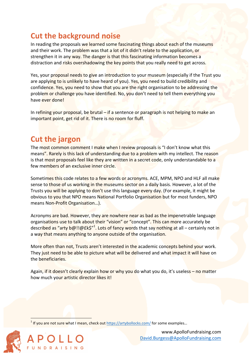# **Cut the background noise**

In reading the proposals we learned some fascinating things about each of the museums and their work. The problem was that a lot of it didn't relate to the application, or strengthen it in any way. The danger is that this fascinating information becomes a distraction and risks overshadowing the key points that you really need to get across.

Yes, your proposal needs to give an introduction to your museum (especially if the Trust you are applying to is unlikely to have heard of you). Yes, you need to build credibility and confidence. Yes, you need to show that you are the right organisation to be addressing the problem or challenge you have identified. No, you don't need to tell them everything you have ever done!

In refining your proposal, be brutal  $-$  if a sentence or paragraph is not helping to make an important point, get rid of it. There is no room for fluff.

### **Cut the jargon**

The most common comment I make when I review proposals is "I don't know what this means". Rarely is this lack of understanding due to a problem with my intellect. The reason is that most proposals feel like they are written in a secret code, only understandable to a few members of an exclusive inner circle.

Sometimes this code relates to a few words or acronyms. ACE, MPM, NPO and HLF all make sense to those of us working in the museums sector on a daily basis. However, a lot of the Trusts you will be applying to don't use this language every day. (For example, it might be obvious to you that NPO means National Portfolio Organisation but for most funders, NPO means Non-Profit Organisation...).

Acronyms are bad. However, they are nowhere near as bad as the impenetrable language organisations use to talk about their "vision" or "concept". This can more accurately be descri<mark>bed as "arty b@!!@£k\$"<sup>1</sup>. Lots of fancy wor</mark>ds that sa<mark>y nothing at</mark> all – certainly not in a way that means anything to anyone outside of the organisation.

More often than not, Trusts aren't interested in the academic concepts behind your work. They just need to be able to picture what will be delivered and what impact it will have on the beneficiaries.

Again, if it doesn't clearly explain how or why you do what you do, it's useless - no matter how much your artistic director likes it!

 $1$  If you are not sure what I mean, check out https://artybollocks.com/ for some examples...



www.ApolloFundraising.com David.Burgess@ApolloFundraising.com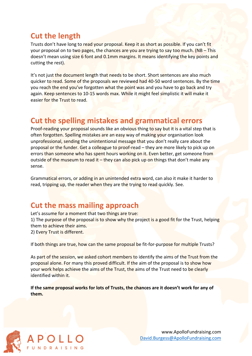# **Cut the length**

Trusts don't have long to read your proposal. Keep it as short as possible. If you can't fit your proposal on to two pages, the chances are you are trying to say too much. ( $NB$  – This doesn't mean using size 6 font and 0.1mm margins. It means identifying the key points and cutting the rest).

It's not just the document length that needs to be short. Short sentences are also much quicker to read. Some of the proposals we reviewed had 40-50 word sentences. By the time you reach the end you've forgotten what the point was and you have to go back and try again. Keep sentences to 10-15 words max. While it might feel simplistic it will make it easier for the Trust to read.

# **Cut the spelling mistakes and grammatical errors**

Proof-reading your proposal sounds like an obvious thing to say but it is a vital step that is often forgotten. Spelling mistakes are an easy way of making your organisation look unprofessional, sending the unintentional message that you don't really care about the proposal or the funder. Get a colleague to proof-read – they are more likely to pick up on errors than someone who has spent hours working on it. Even better, get someone from outside of the museum to read it – they can also pick up on things that don't make any sense.

Grammatical errors, or adding in an unintended extra word, can also it make it harder to read, tripping up, the reader when they are the trying to read quickly. See.

### **Cut the mass mailing approach**

Let's assume for a moment that two things are true:

1) The purpose of the proposal is to show why the project is a good fit for the Trust, helping them to achieve their aims.

2) Every Trust is different.

If both things are true, how can the same proposal be fit-for-purpose for multiple Trusts?

As part of the session, we asked cohort members to identify the aims of the Trust from the proposal alone. For many this proved difficult. If the aim of the proposal is to show how your work helps achieve the aims of the Trust, the aims of the Trust need to be clearly identified within it.

**If the same proposal works for lots of Trusts, the chances are it doesn't work for any of them.**

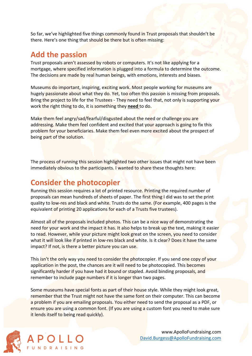So far, we've highlighted five things commonly found in Trust proposals that shouldn't be there. Here's one thing that should be there but is often missing:

### **Add the passion**

Trust proposals aren't assessed by robots or computers. It's not like applying for a mortgage, where specified information is plugged into a formula to determine the outcome. The decisions are made by real human beings, with emotions, interests and biases.

Museums do important, inspiring, exciting work. Most people working for museums are hugely passionate about what they do. Yet, too often this passion is missing from proposals. Bring the project to life for the Trustees - They need to feel that, not only is supporting your work the right thing to do, it is something they need to do.

Make them feel angry/sad/fearful/disgusted about the need or challenge you are addressing. Make them feel confident and excited that your approach is going to fix this problem for your beneficiaries. Make them feel even more excited about the prospect of being part of the solution.

The process of running this session highlighted two other issues that might not have been immediately obvious to the participants. I wanted to share these thoughts here:

# **Consider the photocopier**

Running this session requires a lot of printed resource. Printing the required number of proposals can mean hundreds of sheets of paper. The first thing I did was to set the print quality to low-res and black and white. Trusts do the same. (For example, 400 pages is the equivalent of printing 20 applications for each of a Trusts five trustees).

Almost all of the proposals included photos. This can be a nice way of demonstrating the need for your work and the impact it has. It also helps to break up the text, making it easier to read. However, while your picture might look great on the screen, you need to consider what it will look like if printed in low-res black and white. Is it clear? Does it have the same impact? If not, is there a better picture you can use.

This isn't the only way you need to consider the photocopier. If you send one copy of your application in the post, the chances are it will need to be photocopied. This becomes significantly harder if you have had it bound or stapled. Avoid binding proposals, and remember to include page numbers if it is longer than two pages.

Some museums have special fonts as part of their house style. While they might look great, remember that the Trust might not have the same font on their computer. This can become a problem if you are emailing proposals. You either need to send the proposal as a PDF, or ensure you are using a common font. (If you are using a custom font you need to make sure it lends itself to being read quickly).